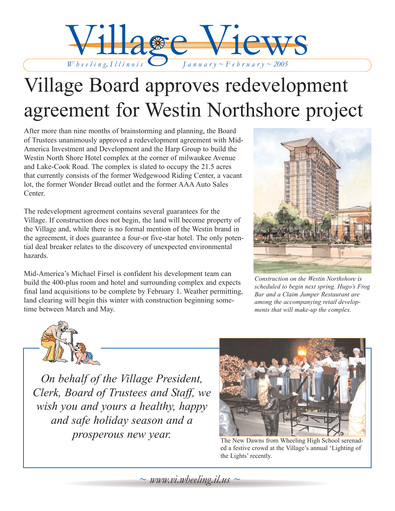

# Village Board approves redevelopment agreement for Westin Northshore project

After more than nine months of brainstorming and planning, the Board of Trustees unanimously approved a redevelopment agreement with Mid-America Investment and Development and the Harp Group to build the Westin North Shore Hotel complex at the corner of milwaukee Avenue and Lake-Cook Road. The complex is slated to occupy the 21.5 acres that currently consists of the former Wedgewood Riding Center, a vacant lot, the former Wonder Bread outlet and the former AAA Auto Sales Center.

The redevelopment agreement contains several guarantees for the Village. If construction does not begin, the land will become property of the Village and, while there is no formal mention of the Westin brand in the agreement, it does guarantee a four-or five-star hotel. The only potential deal breaker relates to the discovery of unexpected environmental hazards.

Mid-America's Michael Firsel is confident his development team can build the 400-plus room and hotel and surrounding complex and expects final land acquisitions to be complete by February 1. Weather permitting, land clearing will begin this winter with construction beginning sometime between March and May.



*Construction on the Westin Northshore is scheduled to begin next spring. Hugo's Frog Bar and a Claim Jumper Restaurant are among the accompanying retail developments that will make-up the complex.*



*On behalf of the Village President, Clerk, Board of Trustees and Staff, we wish you and yours a healthy, happy and safe holiday season and a prosperous new year.* The New Dawns from Wheeling High School serenad-



ed a festive crowd at the Village's annual 'Lighting of the Lights' recently.

 $\sim$  *www.vi.wheeling.il.us*  $\sim$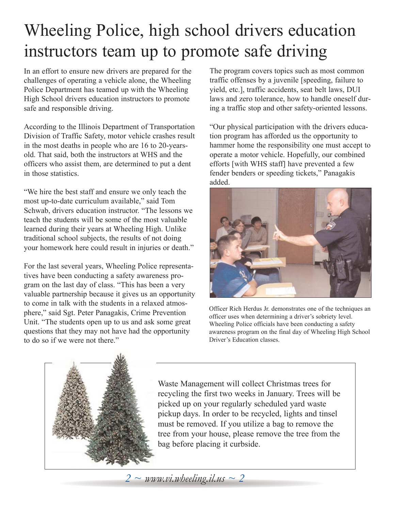# Wheeling Police, high school drivers education instructors team up to promote safe driving

In an effort to ensure new drivers are prepared for the challenges of operating a vehicle alone, the Wheeling Police Department has teamed up with the Wheeling High School drivers education instructors to promote safe and responsible driving.

According to the Illinois Department of Transportation Division of Traffic Safety, motor vehicle crashes result in the most deaths in people who are 16 to 20-yearsold. That said, both the instructors at WHS and the officers who assist them, are determined to put a dent in those statistics.

"We hire the best staff and ensure we only teach the most up-to-date curriculum available," said Tom Schwab, drivers education instructor. "The lessons we teach the students will be some of the most valuable learned during their years at Wheeling High. Unlike traditional school subjects, the results of not doing your homework here could result in injuries or death."

For the last several years, Wheeling Police representatives have been conducting a safety awareness program on the last day of class. "This has been a very valuable partnership because it gives us an opportunity to come in talk with the students in a relaxed atmosphere," said Sgt. Peter Panagakis, Crime Prevention Unit. "The students open up to us and ask some great questions that they may not have had the opportunity to do so if we were not there."

The program covers topics such as most common traffic offenses by a juvenile [speeding, failure to yield, etc.], traffic accidents, seat belt laws, DUI laws and zero tolerance, how to handle oneself during a traffic stop and other safety-oriented lessons.

"Our physical participation with the drivers education program has afforded us the opportunity to hammer home the responsibility one must accept to operate a motor vehicle. Hopefully, our combined efforts [with WHS staff] have prevented a few fender benders or speeding tickets," Panagakis added.



Officer Rich Herdus Jr. demonstrates one of the techniques an officer uses when determining a driver's sobriety level. Wheeling Police officials have been conducting a safety awareness program on the final day of Wheeling High School Driver's Education classes.



Waste Management will collect Christmas trees for recycling the first two weeks in January. Trees will be picked up on your regularly scheduled yard waste pickup days. In order to be recycled, lights and tinsel must be removed. If you utilize a bag to remove the tree from your house, please remove the tree from the bag before placing it curbside.

*2 ~ www.vi.wheeling.il.us ~ 2*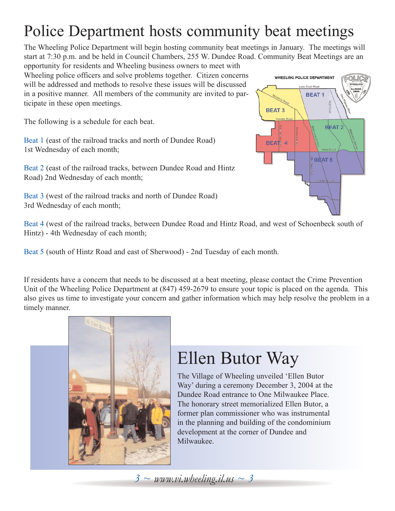## Police Department hosts community beat meetings

The Wheeling Police Department will begin hosting community beat meetings in January. The meetings will start at 7:30 p.m. and be held in Council Chambers, 255 W. Dundee Road. Community Beat Meetings are an

opportunity for residents and Wheeling business owners to meet with Wheeling police officers and solve problems together. Citizen concerns will be addressed and methods to resolve these issues will be discussed in a positive manner. All members of the community are invited to participate in these open meetings.

The following is a schedule for each beat.

Beat 1 (east of the railroad tracks and north of Dundee Road) 1st Wednesday of each month;

Beat 2 (east of the railroad tracks, between Dundee Road and Hintz Road) 2nd Wednesday of each month;

Beat 3 (west of the railroad tracks and north of Dundee Road) 3rd Wednesday of each month;

**WHEELING POLICE DEPARTMENT BEAT1 BEAT3 BEAT 2** BEAT 4  $$B\$ **AT 5** 

Beat 4 (west of the railroad tracks, between Dundee Road and Hintz Road, and west of Schoenbeck south of Hintz) - 4th Wednesday of each month;

Beat 5 (south of Hintz Road and east of Sherwood) - 2nd Tuesday of each month.

If residents have a concern that needs to be discussed at a beat meeting, please contact the Crime Prevention Unit of the Wheeling Police Department at (847) 459-2679 to ensure your topic is placed on the agenda. This also gives us time to investigate your concern and gather information which may help resolve the problem in a timely manner.



# Ellen Butor Way

The Village of Wheeling unveiled 'Ellen Butor Way' during a ceremony December 3, 2004 at the Dundee Road entrance to One Milwaukee Place. The honorary street memorialized Ellen Butor, a former plan commissioner who was instrumental in the planning and building of the condominium development at the corner of Dundee and Milwaukee.

*3 ~ www.vi.wheeling.il.us ~ 3*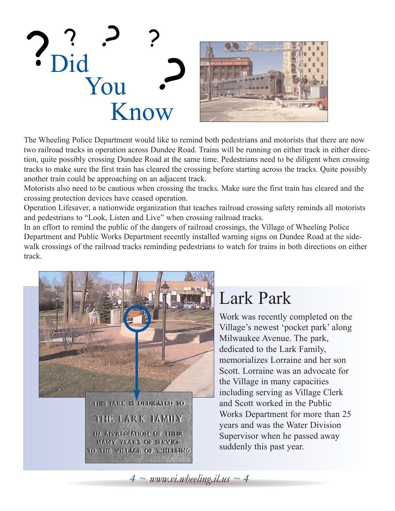

The Wheeling Police Department would like to remind both pedestrians and motorists that there are now two railroad tracks in operation across Dundee Road. Trains will be running on either track in either direction, quite possibly crossing Dundee Road at the same time. Pedestrians need to be diligent when crossing tracks to make sure the first train has cleared the crossing before starting across the tracks. Quite possibly another train could be approaching on an adjacent track.

Motorists also need to be cautious when crossing the tracks. Make sure the first train has cleared and the crossing protection devices have ceased operation.

Operation Lifesaver, a nationwide organization that teaches railroad crossing safety reminds all motorists and pedestrians to "Look, Listen and Live" when crossing railroad tracks.

In an effort to remind the public of the dangers of railroad crossings, the Village of Wheeling Police Department and Public Works Department recently installed warning signs on Dundee Road at the sidewalk crossings of the railroad tracks reminding pedestrians to watch for trains in both directions on either track.



### Lark Park

Work was recently completed on the Village's newest 'pocket park' along Milwaukee Avenue. The park, dedicated to the Lark Family, memorializes Lorraine and her son Scott. Lorraine was an advocate for the Village in many capacities including serving as Village Clerk and Scott worked in the Public Works Department for more than 25 years and was the Water Division Supervisor when he passed away suddenly this past year.

 $4 \sim \text{www.vi.}$ *wheeling.il.us*  $\sim 4$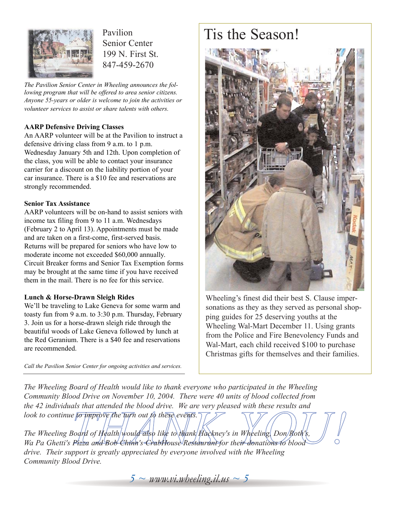

Pavilion Senior Center 199 N. First St. 847-459-2670

*The Pavilion Senior Center in Wheeling announces the following program that will be offered to area senior citizens. Anyone 55-years or older is welcome to join the activities or volunteer services to assist or share talents with others.*

#### **AARP Defensive Driving Classes**

An AARP volunteer will be at the Pavilion to instruct a defensive driving class from 9 a.m. to 1 p.m. Wednesday January 5th and 12th. Upon completion of the class, you will be able to contact your insurance carrier for a discount on the liability portion of your car insurance. There is a \$10 fee and reservations are strongly recommended.

#### **Senior Tax Assistance**

AARP volunteers will be on-hand to assist seniors with income tax filing from 9 to 11 a.m. Wednesdays (February 2 to April 13). Appointments must be made and are taken on a first-come, first-served basis. Returns will be prepared for seniors who have low to moderate income not exceeded \$60,000 annually. Circuit Breaker forms and Senior Tax Exemption forms may be brought at the same time if you have received them in the mail. There is no fee for this service.

#### **Lunch & Horse-Drawn Sleigh Rides**

We'll be traveling to Lake Geneva for some warm and toasty fun from 9 a.m. to 3:30 p.m. Thursday, February 3. Join us for a horse-drawn sleigh ride through the beautiful woods of Lake Geneva followed by lunch at the Red Geranium. There is a \$40 fee and reservations are recommended.

*Call the Pavilion Senior Center for ongoing activities and services.* 

### Tis the Season!



Wheeling's finest did their best S. Clause impersonations as they as they served as personal shopping guides for 25 deserving youths at the Wheeling Wal-Mart December 11. Using grants from the Police and Fire Benevolency Funds and Wal-Mart, each child received \$100 to purchase Christmas gifts for themselves and their families.

*The Wheeling Board of Health would like to thank everyone who participated in the Wheeling Community Blood Drive on November 10, 2004. There were 40 units of blood collected from the 42 individuals that attended the blood drive. We are very pleased with these results and look to continue to improve the turn out to these events.* 

as that difference the blood arive. We are very pleased with these results and<br> *The improve the turn* out to these events.<br> *The interview of Health* would also like to thank Hackney's in Wheeling Don Roth's,<br>
Pizza and B *The Wheeling Bodrd of Health* would also like to thank Hackney's in Wheeling, Don Roth's, *Wa Pa Ghetti's Pizza and Bob Chinn's CrabHouse Restaurant for their donations to blood drive. Their support is greatly appreciated by everyone involved with the Wheeling Community Blood Drive.*

 $5 \sim$  *www.vi.wheeling.il.us*  $\sim$  5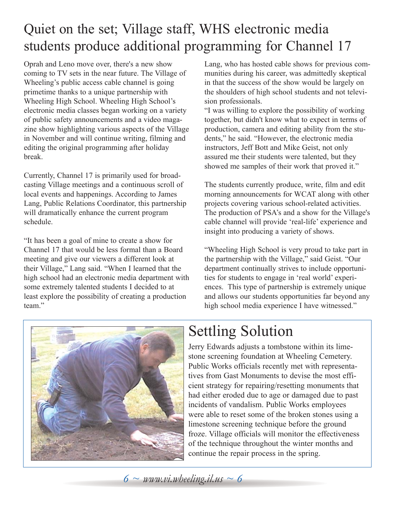### Quiet on the set; Village staff, WHS electronic media students produce additional programming for Channel 17

Oprah and Leno move over, there's a new show coming to TV sets in the near future. The Village of Wheeling's public access cable channel is going primetime thanks to a unique partnership with Wheeling High School. Wheeling High School's electronic media classes began working on a variety of public safety announcements and a video magazine show highlighting various aspects of the Village in November and will continue writing, filming and editing the original programming after holiday break.

Currently, Channel 17 is primarily used for broadcasting Village meetings and a continuous scroll of local events and happenings. According to James Lang, Public Relations Coordinator, this partnership will dramatically enhance the current program schedule.

"It has been a goal of mine to create a show for Channel 17 that would be less formal than a Board meeting and give our viewers a different look at their Village," Lang said. "When I learned that the high school had an electronic media department with some extremely talented students I decided to at least explore the possibility of creating a production team."

Lang, who has hosted cable shows for previous communities during his career, was admittedly skeptical in that the success of the show would be largely on the shoulders of high school students and not television professionals.

"I was willing to explore the possibility of working together, but didn't know what to expect in terms of production, camera and editing ability from the students," he said. "However, the electronic media instructors, Jeff Bott and Mike Geist, not only assured me their students were talented, but they showed me samples of their work that proved it."

The students currently produce, write, film and edit morning announcements for WCAT along with other projects covering various school-related activities. The production of PSA's and a show for the Village's cable channel will provide 'real-life' experience and insight into producing a variety of shows.

"Wheeling High School is very proud to take part in the partnership with the Village," said Geist. "Our department continually strives to include opportunities for students to engage in 'real world' experiences. This type of partnership is extremely unique and allows our students opportunities far beyond any high school media experience I have witnessed."



### Settling Solution

Jerry Edwards adjusts a tombstone within its limestone screening foundation at Wheeling Cemetery. Public Works officials recently met with representatives from Gast Monuments to devise the most efficient strategy for repairing/resetting monuments that had either eroded due to age or damaged due to past incidents of vandalism. Public Works employees were able to reset some of the broken stones using a limestone screening technique before the ground froze. Village officials will monitor the effectiveness of the technique throughout the winter months and continue the repair process in the spring.

 $6 \sim$  *www.vi.wheeling.il.us*  $\sim$  6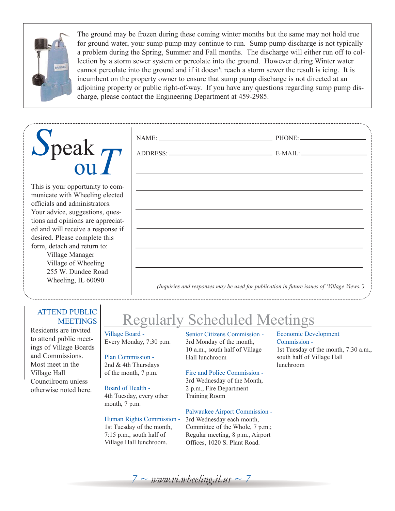

The ground may be frozen during these coming winter months but the same may not hold true for ground water, your sump pump may continue to run. Sump pump discharge is not typically a problem during the Spring, Summer and Fall months. The discharge will either run off to collection by a storm sewer system or percolate into the ground. However during Winter water cannot percolate into the ground and if it doesn't reach a storm sewer the result is icing. It is incumbent on the property owner to ensure that sump pump discharge is not directed at an adjoining property or public right-of-way. If you have any questions regarding sump pump discharge, please contact the Engineering Department at 459-2985.

# *S*peak ou*T*

This is your opportunity to communicate with Wheeling elected officials and administrators. Your advice, suggestions, questions and opinions are appreciated and will receive a response if desired. Please complete this form, detach and return to:

Village Manager Village of Wheeling 255 W. Dundee Road Wheeling, IL 60090

#### ATTEND PUBLIC **MEETINGS**

Residents are invited to attend public meetings of Village Boards and Commissions. Most meet in the Village Hall Councilroom unless otherwise noted here.

### egularly Scheduled Meetings

Village Board - Every Monday, 7:30 p.m.

#### Plan Commission -

2nd & 4th Thursdays of the month, 7 p.m.

#### Board of Health -

4th Tuesday, every other month, 7 p.m.

#### Human Rights Commission -

1st Tuesday of the month, 7:15 p.m., south half of Village Hall lunchroom.

Senior Citizens Commission - 3rd Monday of the month, 10 a.m., south half of Village Hall lunchroom

#### Fire and Police Commission -

3rd Wednesday of the Month, 2 p.m., Fire Department Training Room

#### Palwaukee Airport Commission -

3rd Wednesday each month, Committee of the Whole, 7 p.m.; Regular meeting, 8 p.m., Airport Offices, 1020 S. Plant Road.

Economic Development Commission - 1st Tuesday of the month, 7:30 a.m., south half of Village Hall lunchroom